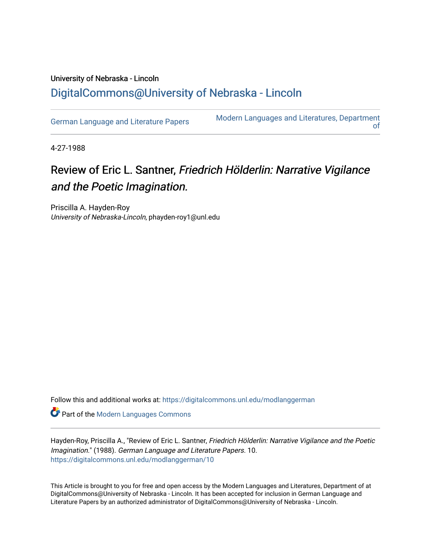## University of Nebraska - Lincoln [DigitalCommons@University of Nebraska - Lincoln](https://digitalcommons.unl.edu/)

[German Language and Literature Papers](https://digitalcommons.unl.edu/modlanggerman) Modern Languages and Literatures, Department [of](https://digitalcommons.unl.edu/modernlanguages) 

4-27-1988

## Review of Eric L. Santner, Friedrich Hölderlin: Narrative Vigilance and the Poetic Imagination.

Priscilla A. Hayden-Roy University of Nebraska-Lincoln, phayden-roy1@unl.edu

Follow this and additional works at: [https://digitalcommons.unl.edu/modlanggerman](https://digitalcommons.unl.edu/modlanggerman?utm_source=digitalcommons.unl.edu%2Fmodlanggerman%2F10&utm_medium=PDF&utm_campaign=PDFCoverPages) 

Part of the [Modern Languages Commons](http://network.bepress.com/hgg/discipline/1130?utm_source=digitalcommons.unl.edu%2Fmodlanggerman%2F10&utm_medium=PDF&utm_campaign=PDFCoverPages) 

Hayden-Roy, Priscilla A., "Review of Eric L. Santner, Friedrich Hölderlin: Narrative Vigilance and the Poetic Imagination." (1988). German Language and Literature Papers. 10. [https://digitalcommons.unl.edu/modlanggerman/10](https://digitalcommons.unl.edu/modlanggerman/10?utm_source=digitalcommons.unl.edu%2Fmodlanggerman%2F10&utm_medium=PDF&utm_campaign=PDFCoverPages)

This Article is brought to you for free and open access by the Modern Languages and Literatures, Department of at DigitalCommons@University of Nebraska - Lincoln. It has been accepted for inclusion in German Language and Literature Papers by an authorized administrator of DigitalCommons@University of Nebraska - Lincoln.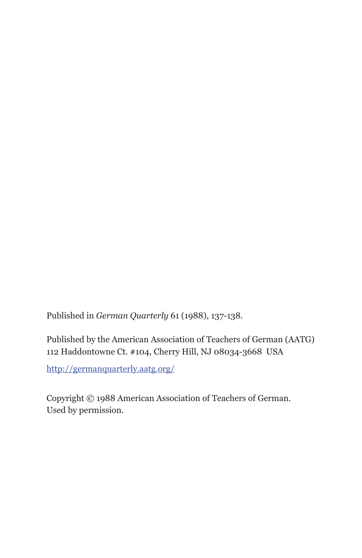Published in *German Quarterly* 61 (1988), 137-138.

Published by the American Association of Teachers of German (AATG) 112 Haddontowne Ct. #104, Cherry Hill, NJ 08034-3668 USA

http://germanquarterly.aatg.org/

Copyright © 1988 American Association of Teachers of German. Used by permission.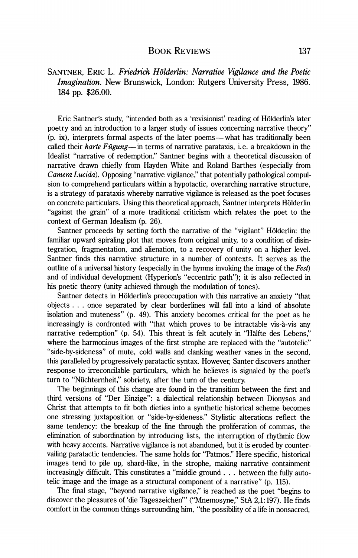## **BOOK REVIEWS**

## *SANTNER, ERIC L. Friedrich Holderlin: Narrative Vigilance and the Poetic Imagination.* New Brunswick, London: Rutgers University Press, 1986. 184 pp. \$26.00.

Eric Santner's study, "intended both as a 'revisionist' reading of Holderlin's later poetry and an introduction to a larger study of issues concerning narrative theory" (p. **ix),** interprets formal aspects of the later poems-what has traditionally been called their *harte Fugung*— in terms of narrative parataxis, i.e. a breakdown in the Idealist "narrative of redemption." Santner begins with a theoretical discussion of narrative drawn chiefly from Hayden White and Roland Barthes (especially from Camera Lucida). Opposing "narrative vigilance," that potentially pathological compulsion to comprehend particulars within a hypotactic, overarching narrative structure, is a strategy of parataxis whereby narrative vigilance is released as the poet focuses on concrete particulars. Using this theoretical approach, Santner interprets Holderlin "against the grain" of a more traditional criticism which relates the poet to the context of German Idealism (p. 26).

Santner proceeds by setting forth the narrative of the "vigilant" Hölderlin: the familiar upward spiraling plot that moves from original unity, to a condition of disintegration, fragmentation, and alienation, to a recovery of unity on a higher level. Santner finds this narrative structure in a number of contexts. It serves as the outline of a universal history (especially in the hymns invoking the image of the  $Fest$ ) and of individual development (Hyperion's "eccentric path"); it is also reflected in his poetic theory (unity achieved through the modulation of tones).

Santner detects in Holderlin's preoccupation with this narrative an anxiety "that objects . . . once separated by clear borderlines will fall into a kind of absolute isolation and muteness" (p. 49). This anxiety becomes critical for the poet as he increasingly is confronted with "that which proves to be intractable vis-a-vis any narrative redemption" (p. 54). This threat is felt acutely in "Halfte des Lebens," where the harmonious images of the first strophe are replaced with the "autotelic" "side-by-sideness" of mute, cold walls and clanking weather vanes in the second, this paralleled by progressively paratactic syntax. However, Santer discovers another response to irreconcilable particulars, which he believes is signaled by the poet's turn to "Niichternheit," sobriety, after the turn of the century.

The beginnings of this change are found in the transition between the first and third versions of "Der Einzige": a dialectical relationship between Dionysos and Christ that attempts to fit both dieties into a synthetic historical scheme becomes one stressing juxtaposition or "side-by-sideness." Stylistic alterations reflect the same tendency: the breakup of the line through the proliferation of commas, the elimination of subordination by introducing lists, the interruption of rhythmic flow with heavy accents. Narrative vigilance is not abandoned, but it is eroded by countervailing paratactic tendencies. The same holds for "Patmos." Here specific, historical images tend to pile up, shard-like, in the strophe, making narrative containment increasingly difficult. This constitutes a "middle ground . . . between the fully autotelic image and the image as a structural component of a narrative" (p. 115).

The final stage, "beyond narrative vigilance," is reached as the poet "begins to discover the pleasures of 'die Tageszeichen"' ("Mnemosyne," StA 2,l: 197). He finds comfort in the common things surrounding him, "the possibility of a life in nonsacred,